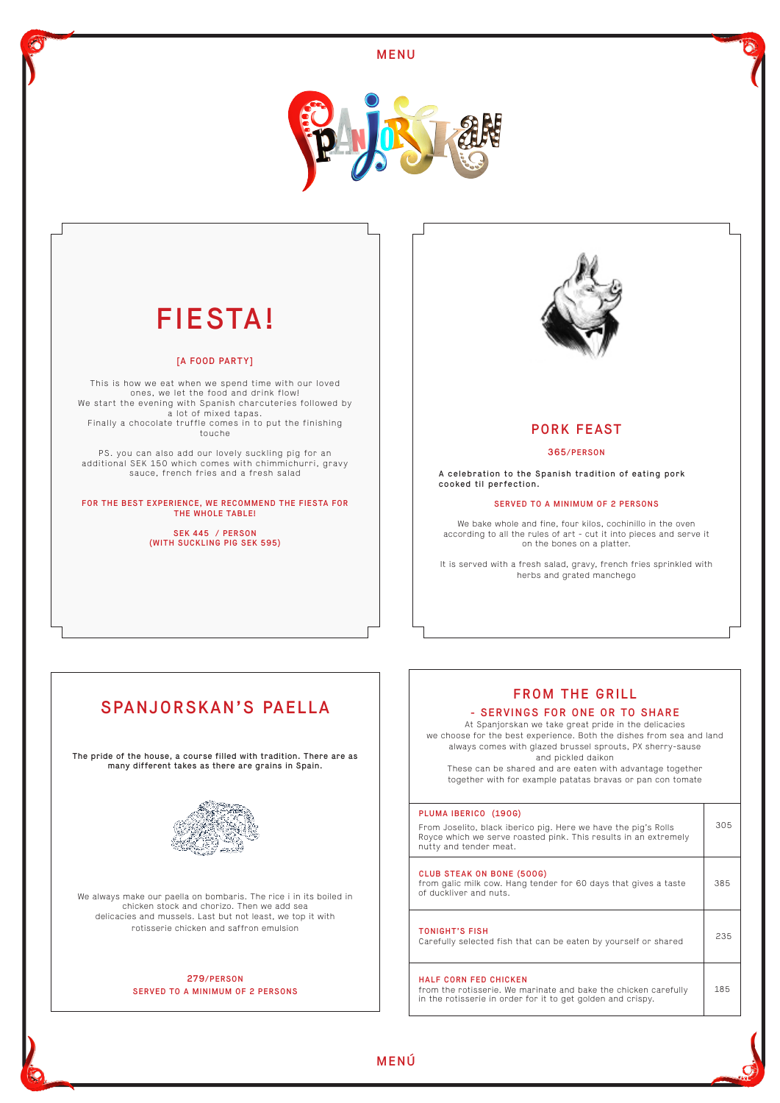# PORK FEAST

### 365/PERSON

A celebration to the Spanish tradition of eating pork cooked til perfection.

#### SERVED TO A MINIMUM OF 2 PERSONS

We bake whole and fine, four kilos, cochinillo in the oven according to all the rules of art - cut it into pieces and serve it on the bones on a platter.

It is served with a fresh salad, gravy, french fries sprinkled with herbs and grated manchego



# FIESTA!

#### [A FOOD PARTY]

This is how we eat when we spend time with our loved ones, we let the food and drink flow! We start the evening with Spanish charcuteries followed by a lot of mixed tapas. Finally a chocolate truffle comes in to put the finishing touche

PS. you can also add our lovely suckling pig for an additional SEK 150 which comes with chimmichurri, gravy sauce, french fries and a fresh salad

FOR THE BEST EXPERIENCE, WE RECOMMEND THE FIESTA FOR THE WHOLE TABLE!

> SEK 445 / PERSON (WITH SUCKLING PIG SEK 595)



# SPANJORSKAN'S PAELLA

The pride of the house, a course filled with tradition. There are as many different takes as there are grains in Spain.



We always make our paella on bombaris. The rice i in its boiled in chicken stock and chorizo. Then we add sea delicacies and mussels. Last but not least, we top it with rotisserie chicken and saffron emulsion

## 279/PERSON SERVED TO A MINIMUM OF 2 PERSONS



# FROM THE GRILL

### - SERVINGS FOR ONE OR TO SHARE

At Spanjorskan we take great pride in the delicacies we choose for the best experience. Both the dishes from sea and land always comes with glazed brussel sprouts, PX sherry-sause and pickled daikon

These can be shared and are eaten with advantage together together with for example patatas bravas or pan con tomate

#### PLUMA IBERICO (190G)

From Joselito, black iberico pig. Here we have the pig's Rolls

305



| Royce which we serve roasted pink. This results in an extremely<br>nutty and tender meat.                                                                      |     |
|----------------------------------------------------------------------------------------------------------------------------------------------------------------|-----|
| CLUB STEAK ON BONE (500G)<br>from galic milk cow. Hang tender for 60 days that gives a taste<br>of duckliver and nuts.                                         | 385 |
| <b>TONIGHT'S FISH</b><br>Carefully selected fish that can be eaten by yourself or shared                                                                       | 235 |
| <b>HALF CORN FED CHICKEN</b><br>from the rotisserie. We marinate and bake the chicken carefully<br>in the rotisserie in order for it to get golden and crispy. | 185 |